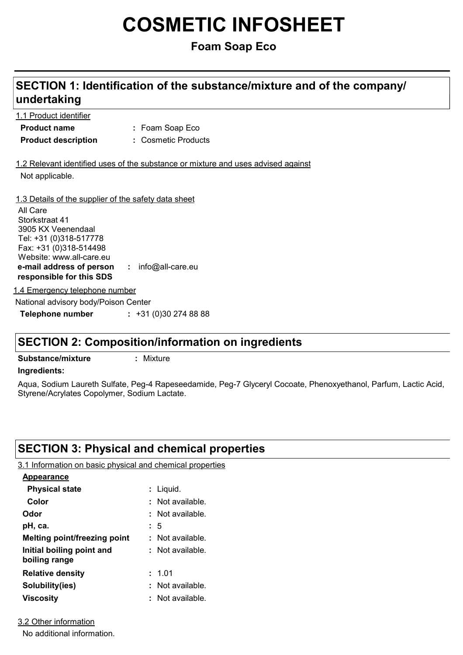# **COSMETIC INFOSHEET**

## **Foam Soap Eco**

### Foam Soap Eco **: Product name** 1.1 Product identifier 1.3 Details of the supplier of the safety data sheet **e-mail address of person responsible for this SDS :** info@all-care.eu **Product description :** Cosmetic Products 1.2 Relevant identified uses of the substance or mixture and uses advised against Not applicable. All Care Storkstraat 41 3905 KX Veenendaal Tel: +31 (0)318-517778 Fax: +31 (0)318-514498 Website: www.all-care.eu

**SECTION 1: Identification of the substance/mixture and of the company/**

1.4 Emergency telephone number

National advisory body/Poison Center

**Telephone number :** +31 (0)30 274 88 88

## **SECTION 2: Composition/information on ingredients**

**Substance/mixture :** Mixture

**undertaking**

#### **Ingredients:**

Aqua, Sodium Laureth Sulfate, Peg-4 Rapeseedamide, Peg-7 Glyceryl Cocoate, Phenoxyethanol, Parfum, Lactic Acid, Styrene/Acrylates Copolymer, Sodium Lactate.

## **SECTION 3: Physical and chemical properties**

3.1 Information on basic physical and chemical properties

| <b>Appearance</b>                          |                  |
|--------------------------------------------|------------------|
| <b>Physical state</b>                      | $:$ Liquid.      |
| Color                                      | Not available.   |
| Odor                                       | : Not available. |
| pH, ca.                                    | : 5              |
| <b>Melting point/freezing point</b>        | : Not available. |
| Initial boiling point and<br>boiling range | Not available.   |
| <b>Relative density</b>                    | : 1.01           |
| Solubility(ies)                            | Not available.   |
| <b>Viscosity</b>                           | Not available.   |

3.2 Other information

No additional information.